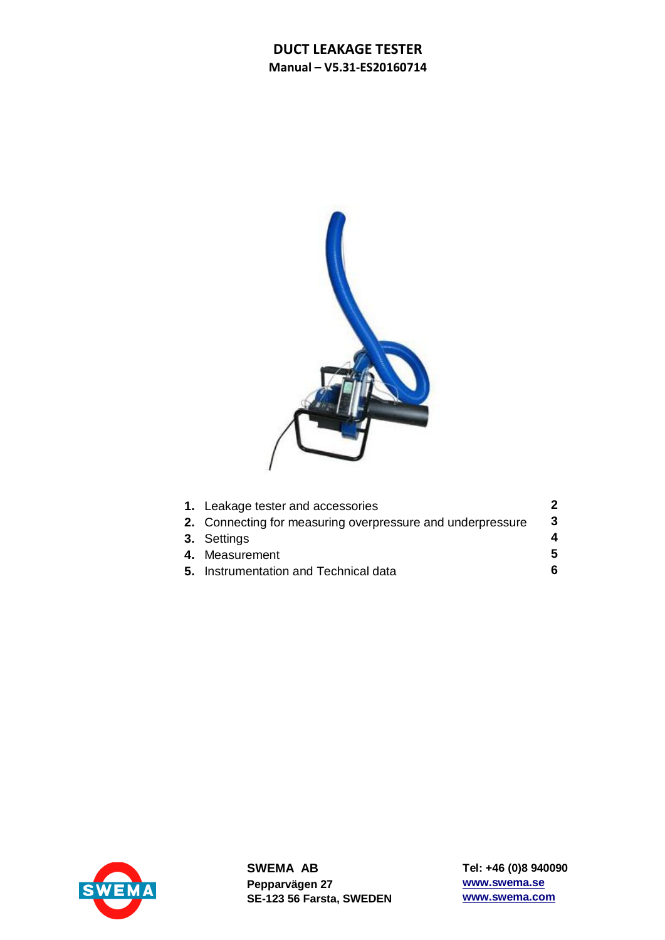

| 1. Leakage tester and accessories                          |    |
|------------------------------------------------------------|----|
| 2. Connecting for measuring overpressure and underpressure | 3  |
| 3. Settings                                                | 4  |
| 4. Measurement                                             | 5. |
| 5. Instrumentation and Technical data                      | 6. |



**SWEMA AB Pepparvägen 27 SE-123 56 Farsta, SWEDEN** **Tel: +46 (0)8 940090 www.swema.se www.swema.com**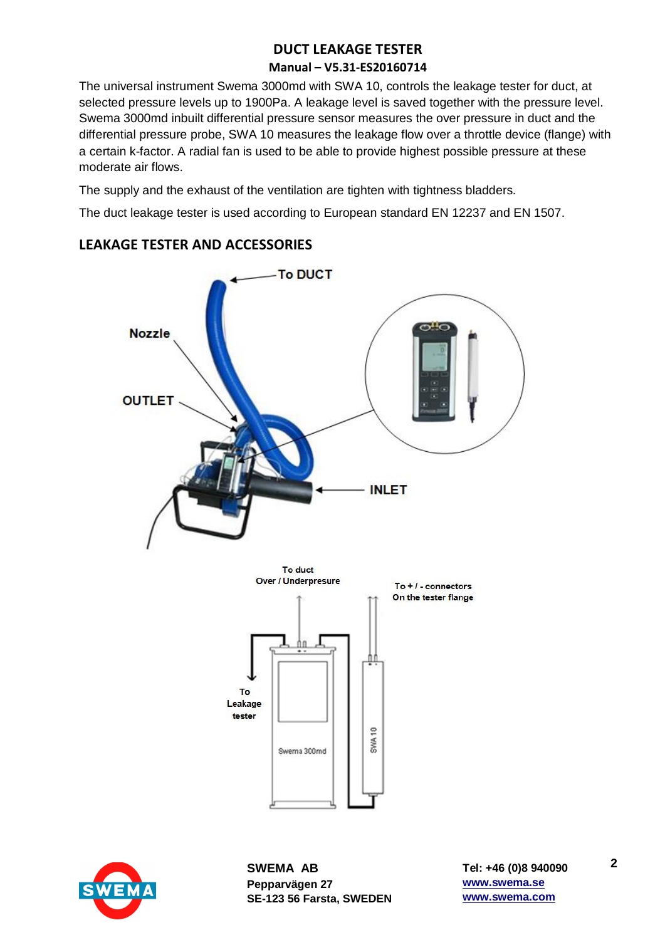The universal instrument Swema 3000md with SWA 10, controls the leakage tester for duct, at selected pressure levels up to 1900Pa. A leakage level is saved together with the pressure level. Swema 3000md inbuilt differential pressure sensor measures the over pressure in duct and the differential pressure probe, SWA 10 measures the leakage flow over a throttle device (flange) with a certain k-factor. A radial fan is used to be able to provide highest possible pressure at these moderate air flows.

The supply and the exhaust of the ventilation are tighten with tightness bladders.

The duct leakage tester is used according to European standard EN 12237 and EN 1507.

## **LEAKAGE TESTER AND ACCESSORIES**





**SWEMA AB Pepparvägen 27 SE-123 56 Farsta, SWEDEN**

**Tel: +46 (0)8 940090 www.swema.se www.swema.com**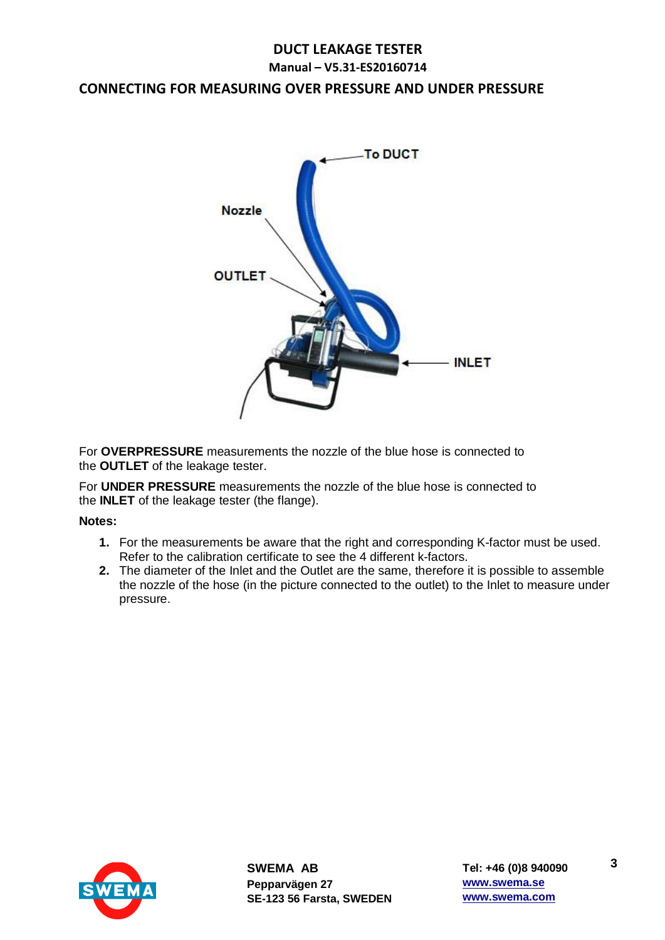## **CONNECTING FOR MEASURING OVER PRESSURE AND UNDER PRESSURE**



For **OVERPRESSURE** measurements the nozzle of the blue hose is connected to the **OUTLET** of the leakage tester.

For **UNDER PRESSURE** measurements the nozzle of the blue hose is connected to the **INLET** of the leakage tester (the flange).

#### **Notes:**

- **1.** For the measurements be aware that the right and corresponding K-factor must be used. Refer to the calibration certificate to see the 4 different k-factors.
- **2.** The diameter of the Inlet and the Outlet are the same, therefore it is possible to assemble the nozzle of the hose (in the picture connected to the outlet) to the Inlet to measure under pressure.



**SWEMA AB Pepparvägen 27 SE-123 56 Farsta, SWEDEN** **3**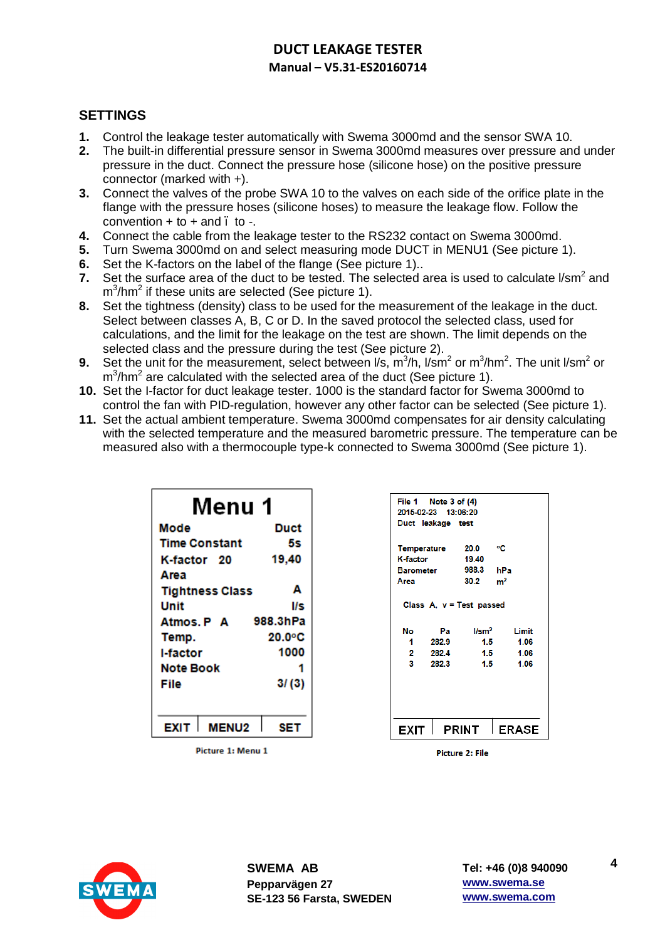## **SETTINGS**

- **1.** Control the leakage tester automatically with Swema 3000md and the sensor SWA 10.
- **2.** The built-in differential pressure sensor in Swema 3000md measures over pressure and under pressure in the duct. Connect the pressure hose (silicone hose) on the positive pressure connector (marked with +).
- **3.** Connect the valves of the probe SWA 10 to the valves on each side of the orifice plate in the flange with the pressure hoses (silicone hoses) to measure the leakage flow. Follow the convention  $+$  to  $+$  and  $\overline{a}$  to  $\overline{a}$ .
- **4.** Connect the cable from the leakage tester to the RS232 contact on Swema 3000md.
- **5.** Turn Swema 3000md on and select measuring mode DUCT in MENU1 (See picture 1).
- **6.** Set the K-factors on the label of the flange (See picture 1)..
- **7.** Set the surface area of the duct to be tested. The selected area is used to calculate l/sm<sup>2</sup> and  $m^3$ /hm<sup>2</sup> if these units are selected (See picture 1).
- **8.** Set the tightness (density) class to be used for the measurement of the leakage in the duct. Select between classes A, B, C or D. In the saved protocol the selected class, used for calculations, and the limit for the leakage on the test are shown. The limit depends on the selected class and the pressure during the test (See picture 2).
- **9.** Set the unit for the measurement, select between  $\ell$ s, m<sup>3</sup>/h,  $\ell$ sm<sup>2</sup> or m<sup>3</sup>/hm<sup>2</sup>. The unit  $\ell$ sm<sup>2</sup> or  $m^3/hm^2$  are calculated with the selected area of the duct (See picture 1).
- **10.** Set the I-factor for duct leakage tester. 1000 is the standard factor for Swema 3000md to control the fan with PID-regulation, however any other factor can be selected (See picture 1).
- **11.** Set the actual ambient temperature. Swema 3000md compensates for air density calculating with the selected temperature and the measured barometric pressure. The temperature can be measured also with a thermocouple type-k connected to Swema 3000md (See picture 1).

| Menu 1                 |          |  |  |
|------------------------|----------|--|--|
| Mode                   | Duct     |  |  |
| <b>Time Constant</b>   | 5s       |  |  |
| K-factor 20            | 19,40    |  |  |
| Area                   |          |  |  |
| <b>Tightness Class</b> | Α        |  |  |
| Unit                   | l/s      |  |  |
| Atmos. P A             | 988.3hPa |  |  |
| Temp.                  | 20.0°C   |  |  |
| l-factor               | 1000     |  |  |
| Note Book              | 1        |  |  |
| File                   | 3/ (3)   |  |  |
|                        |          |  |  |
| EXIT<br><b>MENU2</b>   | SET      |  |  |

**Picture 1: Menu 1** 

| File 1<br>2015-02-23 13:06:20<br>Duct leakage test | Note $3$ of $(4)$ |                                                 |                |
|----------------------------------------------------|-------------------|-------------------------------------------------|----------------|
| <b>Temperature</b>                                 |                   | 20.0                                            | ۰c             |
| K-factor                                           |                   | 19.40                                           |                |
| Barometer                                          |                   | 988.3                                           | hPa            |
| Area                                               |                   | 30.2                                            | m <sup>2</sup> |
| No                                                 | Pa                | Class $A, v = Test$ passed<br>1/s <sub>rm</sub> | Limit          |
| 1                                                  | 282.9             | 1.5                                             | 1.06           |
| 2.                                                 | 282.4             | 1.5                                             | 1.06           |
| 3                                                  | 282.3             | 1.5                                             | 1.06           |
| EXIT                                               |                   | PRINT                                           | <b>ERASE</b>   |

Picture 2: File



**4**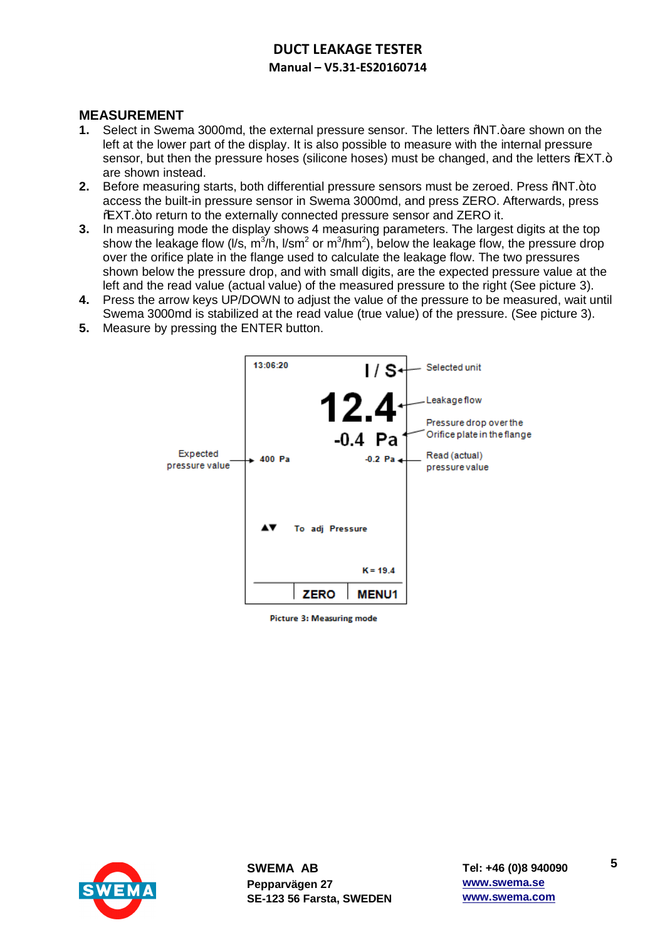## **MEASUREMENT**

- **1.** Select in Swema 3000md, the external pressure sensor. The letters  $%M$ T.+are shown on the left at the lower part of the display. It is also possible to measure with the internal pressure sensor, but then the pressure hoses (silicone hoses) must be changed, and the letters % XT.+ are shown instead.
- **2.** Before measuring starts, both differential pressure sensors must be zeroed. Press %NT.+to access the built-in pressure sensor in Swema 3000md, and press ZERO. Afterwards, press %EXT.+to return to the externally connected pressure sensor and ZERO it.
- **3.** In measuring mode the display shows 4 measuring parameters. The largest digits at the top show the leakage flow (I/s, m<sup>3</sup>/h, I/sm<sup>2</sup> or m<sup>3</sup>/hm<sup>2</sup>), below the leakage flow, the pressure drop over the orifice plate in the flange used to calculate the leakage flow. The two pressures shown below the pressure drop, and with small digits, are the expected pressure value at the left and the read value (actual value) of the measured pressure to the right (See picture 3).
- **4.** Press the arrow keys UP/DOWN to adjust the value of the pressure to be measured, wait until Swema 3000md is stabilized at the read value (true value) of the pressure. (See picture 3).
- **5.** Measure by pressing the ENTER button.



Picture 3: Measuring mode